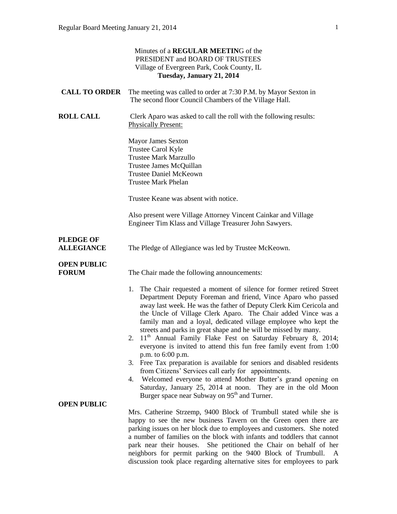| Minutes of a REGULAR MEETING of the<br>PRESIDENT and BOARD OF TRUSTEES<br>Village of Evergreen Park, Cook County, IL<br>Tuesday, January 21, 2014 |                                                                                                                                                                                                                                                                                                                                                                                                                                                                                                                                                                                                                                                                                                                                                                                                                                                                                                                                 |
|---------------------------------------------------------------------------------------------------------------------------------------------------|---------------------------------------------------------------------------------------------------------------------------------------------------------------------------------------------------------------------------------------------------------------------------------------------------------------------------------------------------------------------------------------------------------------------------------------------------------------------------------------------------------------------------------------------------------------------------------------------------------------------------------------------------------------------------------------------------------------------------------------------------------------------------------------------------------------------------------------------------------------------------------------------------------------------------------|
| <b>CALL TO ORDER</b>                                                                                                                              | The meeting was called to order at 7:30 P.M. by Mayor Sexton in<br>The second floor Council Chambers of the Village Hall.                                                                                                                                                                                                                                                                                                                                                                                                                                                                                                                                                                                                                                                                                                                                                                                                       |
| <b>ROLL CALL</b>                                                                                                                                  | Clerk Aparo was asked to call the roll with the following results:<br><b>Physically Present:</b>                                                                                                                                                                                                                                                                                                                                                                                                                                                                                                                                                                                                                                                                                                                                                                                                                                |
|                                                                                                                                                   | Mayor James Sexton<br>Trustee Carol Kyle<br><b>Trustee Mark Marzullo</b><br>Trustee James McQuillan<br><b>Trustee Daniel McKeown</b><br><b>Trustee Mark Phelan</b>                                                                                                                                                                                                                                                                                                                                                                                                                                                                                                                                                                                                                                                                                                                                                              |
|                                                                                                                                                   | Trustee Keane was absent with notice.                                                                                                                                                                                                                                                                                                                                                                                                                                                                                                                                                                                                                                                                                                                                                                                                                                                                                           |
|                                                                                                                                                   | Also present were Village Attorney Vincent Cainkar and Village<br>Engineer Tim Klass and Village Treasurer John Sawyers.                                                                                                                                                                                                                                                                                                                                                                                                                                                                                                                                                                                                                                                                                                                                                                                                        |
| <b>PLEDGE OF</b><br><b>ALLEGIANCE</b>                                                                                                             | The Pledge of Allegiance was led by Trustee McKeown.                                                                                                                                                                                                                                                                                                                                                                                                                                                                                                                                                                                                                                                                                                                                                                                                                                                                            |
| <b>OPEN PUBLIC</b><br><b>FORUM</b>                                                                                                                | The Chair made the following announcements:                                                                                                                                                                                                                                                                                                                                                                                                                                                                                                                                                                                                                                                                                                                                                                                                                                                                                     |
| <b>OPEN PUBLIC</b>                                                                                                                                | 1. The Chair requested a moment of silence for former retired Street<br>Department Deputy Foreman and friend, Vince Aparo who passed<br>away last week. He was the father of Deputy Clerk Kim Cericola and<br>the Uncle of Village Clerk Aparo. The Chair added Vince was a<br>family man and a loyal, dedicated village employee who kept the<br>streets and parks in great shape and he will be missed by many.<br>11 <sup>th</sup> Annual Family Flake Fest on Saturday February 8, 2014;<br>2.<br>everyone is invited to attend this fun free family event from 1:00<br>p.m. to 6:00 p.m.<br>3. Free Tax preparation is available for seniors and disabled residents<br>from Citizens' Services call early for appointments.<br>4. Welcomed everyone to attend Mother Butter's grand opening on<br>Saturday, January 25, 2014 at noon. They are in the old Moon<br>Burger space near Subway on 95 <sup>th</sup> and Turner. |
|                                                                                                                                                   | Mrs. Catherine Strzemp, 9400 Block of Trumbull stated while she is<br>happy to see the new business Tavern on the Green open there are<br>parking issues on her block due to employees and customers. She noted<br>a number of families on the block with infants and toddlers that cannot<br>park near their houses. She petitioned the Chair on behalf of her<br>neighbors for permit parking on the 9400 Block of Trumbull.<br>A<br>discussion took place regarding alternative sites for employees to park                                                                                                                                                                                                                                                                                                                                                                                                                  |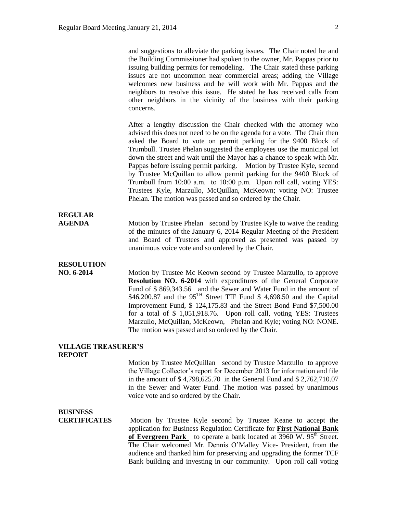and suggestions to alleviate the parking issues. The Chair noted he and the Building Commissioner had spoken to the owner, Mr. Pappas prior to issuing building permits for remodeling. The Chair stated these parking issues are not uncommon near commercial areas; adding the Village welcomes new business and he will work with Mr. Pappas and the neighbors to resolve this issue. He stated he has received calls from other neighbors in the vicinity of the business with their parking concerns.

After a lengthy discussion the Chair checked with the attorney who advised this does not need to be on the agenda for a vote. The Chair then asked the Board to vote on permit parking for the 9400 Block of Trumbull. Trustee Phelan suggested the employees use the municipal lot down the street and wait until the Mayor has a chance to speak with Mr. Pappas before issuing permit parking. Motion by Trustee Kyle, second by Trustee McQuillan to allow permit parking for the 9400 Block of Trumbull from 10:00 a.m. to 10:00 p.m. Upon roll call, voting YES: Trustees Kyle, Marzullo, McQuillan, McKeown; voting NO: Trustee Phelan. The motion was passed and so ordered by the Chair.

## **REGULAR**

**AGENDA** Motion by Trustee Phelan second by Trustee Kyle to waive the reading of the minutes of the January 6, 2014 Regular Meeting of the President and Board of Trustees and approved as presented was passed by unanimous voice vote and so ordered by the Chair.

#### **RESOLUTION**

**NO. 6-2014** Motion by Trustee Mc Keown second by Trustee Marzullo, to approve **Resolution NO. 6-2014** with expenditures of the General Corporate Fund of \$ 869,343.56 and the Sewer and Water Fund in the amount of \$46,200.87 and the  $95^{TH}$  Street TIF Fund \$ 4,698.50 and the Capital Improvement Fund, \$ 124,175.83 and the Street Bond Fund \$7,500.00 for a total of \$ 1,051,918.76. Upon roll call, voting YES: Trustees Marzullo, McQuillan, McKeown, Phelan and Kyle; voting NO: NONE. The motion was passed and so ordered by the Chair.

#### **VILLAGE TREASURER'S REPORT**

Motion by Trustee McQuillan second by Trustee Marzullo to approve the Village Collector's report for December 2013 for information and file in the amount of \$ 4,798,625.70 in the General Fund and \$ 2,762,710.07 in the Sewer and Water Fund. The motion was passed by unanimous voice vote and so ordered by the Chair.

#### **BUSINESS**

**CERTIFICATES** Motion by Trustee Kyle second by Trustee Keane to accept the application for Business Regulation Certificate for **First National Bank**  of Evergreen Park to operate a bank located at 3960 W. 95<sup>th</sup> Street. The Chair welcomed Mr. Dennis O'Malley Vice- President, from the audience and thanked him for preserving and upgrading the former TCF Bank building and investing in our community. Upon roll call voting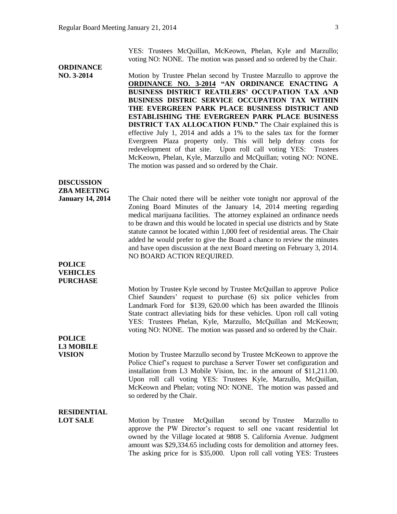YES: Trustees McQuillan, McKeown, Phelan, Kyle and Marzullo; voting NO: NONE. The motion was passed and so ordered by the Chair.

# **ORDINANCE**

**NO. 3-2014** Motion by Trustee Phelan second by Trustee Marzullo to approve the **ORDINANCE NO. 3-2014 "AN ORDINANCE ENACTING A BUSINESS DISTRICT REATILERS' OCCUPATION TAX AND BUSINESS DISTRIC SERVICE OCCUPATION TAX WITHIN THE EVERGREEN PARK PLACE BUSINESS DISTRICT AND ESTABLISHING THE EVERGREEN PARK PLACE BUSINESS DISTRICT TAX ALLOCATION FUND."** The Chair explained this is effective July 1, 2014 and adds a 1% to the sales tax for the former Evergreen Plaza property only. This will help defray costs for redevelopment of that site. Upon roll call voting YES: Trustees McKeown, Phelan, Kyle, Marzullo and McQuillan; voting NO: NONE. The motion was passed and so ordered by the Chair.

### **DISCUSSION ZBA MEETING**

**January 14, 2014** The Chair noted there will be neither vote tonight nor approval of the Zoning Board Minutes of the January 14, 2014 meeting regarding medical marijuana facilities. The attorney explained an ordinance needs to be drawn and this would be located in special use districts and by State statute cannot be located within 1,000 feet of residential areas. The Chair added he would prefer to give the Board a chance to review the minutes and have open discussion at the next Board meeting on February 3, 2014. NO BOARD ACTION REQUIRED.

#### **POLICE VEHICLES PURCHASE**

Motion by Trustee Kyle second by Trustee McQuillan to approve Police Chief Saunders' request to purchase (6) six police vehicles from Landmark Ford for \$139, 620.00 which has been awarded the Illinois State contract alleviating bids for these vehicles. Upon roll call voting YES: Trustees Phelan, Kyle, Marzullo, McQuillan and McKeown; voting NO: NONE. The motion was passed and so ordered by the Chair.

#### **POLICE L3 MOBILE**

**VISION** Motion by Trustee Marzullo second by Trustee McKeown to approve the Police Chief's request to purchase a Server Tower set configuration and installation from L3 Mobile Vision, Inc. in the amount of \$11,211.00. Upon roll call voting YES: Trustees Kyle, Marzullo, McQuillan, McKeown and Phelan; voting NO: NONE. The motion was passed and so ordered by the Chair.

#### **RESIDENTIAL**

**LOT SALE** Motion by Trustee McQuillan second by Trustee Marzullo to approve the PW Director's request to sell one vacant residential lot owned by the Village located at 9808 S. California Avenue. Judgment amount was \$29,334.65 including costs for demolition and attorney fees. The asking price for is \$35,000. Upon roll call voting YES: Trustees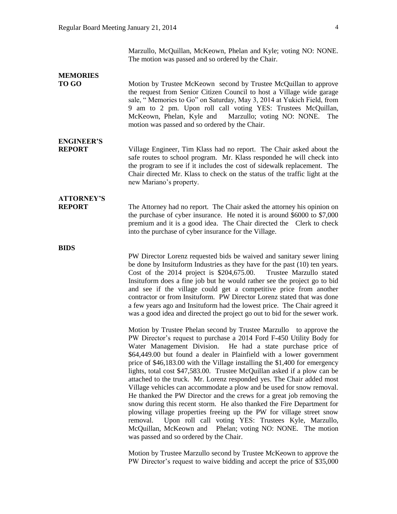Marzullo, McQuillan, McKeown, Phelan and Kyle; voting NO: NONE. The motion was passed and so ordered by the Chair.

#### **MEMORIES TO GO** Motion by Trustee McKeown second by Trustee McQuillan to approve the request from Senior Citizen Council to host a Village wide garage sale, " Memories to Go" on Saturday, May 3, 2014 at Yukich Field, from 9 am to 2 pm. Upon roll call voting YES: Trustees McQuillan, McKeown, Phelan, Kyle and Marzullo; voting NO: NONE. The motion was passed and so ordered by the Chair.

# **ENGINEER'S**

**REPORT** Village Engineer, Tim Klass had no report. The Chair asked about the safe routes to school program. Mr. Klass responded he will check into the program to see if it includes the cost of sidewalk replacement. The Chair directed Mr. Klass to check on the status of the traffic light at the new Mariano's property.

## **ATTORNEY'S**

**REPORT** The Attorney had no report. The Chair asked the attorney his opinion on the purchase of cyber insurance. He noted it is around \$6000 to \$7,000 premium and it is a good idea. The Chair directed the Clerk to check into the purchase of cyber insurance for the Village.

**BIDS**

PW Director Lorenz requested bids be waived and sanitary sewer lining be done by Insituform Industries as they have for the past (10) ten years. Cost of the 2014 project is \$204,675.00. Trustee Marzullo stated Insituform does a fine job but he would rather see the project go to bid and see if the village could get a competitive price from another contractor or from Insituform. PW Director Lorenz stated that was done a few years ago and Insituform had the lowest price. The Chair agreed it was a good idea and directed the project go out to bid for the sewer work.

Motion by Trustee Phelan second by Trustee Marzullo to approve the PW Director's request to purchase a 2014 Ford F-450 Utility Body for Water Management Division. He had a state purchase price of \$64,449.00 but found a dealer in Plainfield with a lower government price of \$46,183.00 with the Village installing the \$1,400 for emergency lights, total cost \$47,583.00. Trustee McQuillan asked if a plow can be attached to the truck. Mr. Lorenz responded yes. The Chair added most Village vehicles can accommodate a plow and be used for snow removal. He thanked the PW Director and the crews for a great job removing the snow during this recent storm. He also thanked the Fire Department for plowing village properties freeing up the PW for village street snow removal. Upon roll call voting YES: Trustees Kyle, Marzullo, McQuillan, McKeown and Phelan; voting NO: NONE. The motion was passed and so ordered by the Chair.

Motion by Trustee Marzullo second by Trustee McKeown to approve the PW Director's request to waive bidding and accept the price of \$35,000